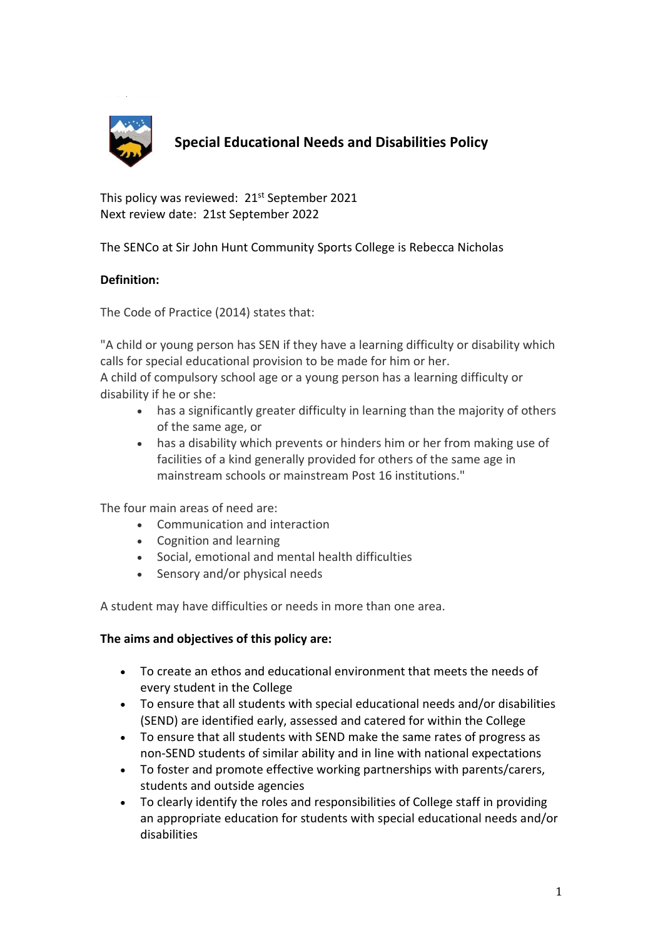

# **Special Educational Needs and Disabilities Policy**

This policy was reviewed: 21<sup>st</sup> September 2021 Next review date: 21st September 2022

The SENCo at Sir John Hunt Community Sports College is Rebecca Nicholas

# **Definition:**

The Code of Practice (2014) states that:

"A child or young person has SEN if they have a learning difficulty or disability which calls for special educational provision to be made for him or her.

A child of compulsory school age or a young person has a learning difficulty or disability if he or she:

- has a significantly greater difficulty in learning than the majority of others of the same age, or
- has a disability which prevents or hinders him or her from making use of facilities of a kind generally provided for others of the same age in mainstream schools or mainstream Post 16 institutions."

The four main areas of need are:

- Communication and interaction
- Cognition and learning
- Social, emotional and mental health difficulties
- Sensory and/or physical needs

A student may have difficulties or needs in more than one area.

## **The aims and objectives of this policy are:**

- To create an ethos and educational environment that meets the needs of every student in the College
- To ensure that all students with special educational needs and/or disabilities (SEND) are identified early, assessed and catered for within the College
- To ensure that all students with SEND make the same rates of progress as non-SEND students of similar ability and in line with national expectations
- To foster and promote effective working partnerships with parents/carers, students and outside agencies
- To clearly identify the roles and responsibilities of College staff in providing an appropriate education for students with special educational needs and/or disabilities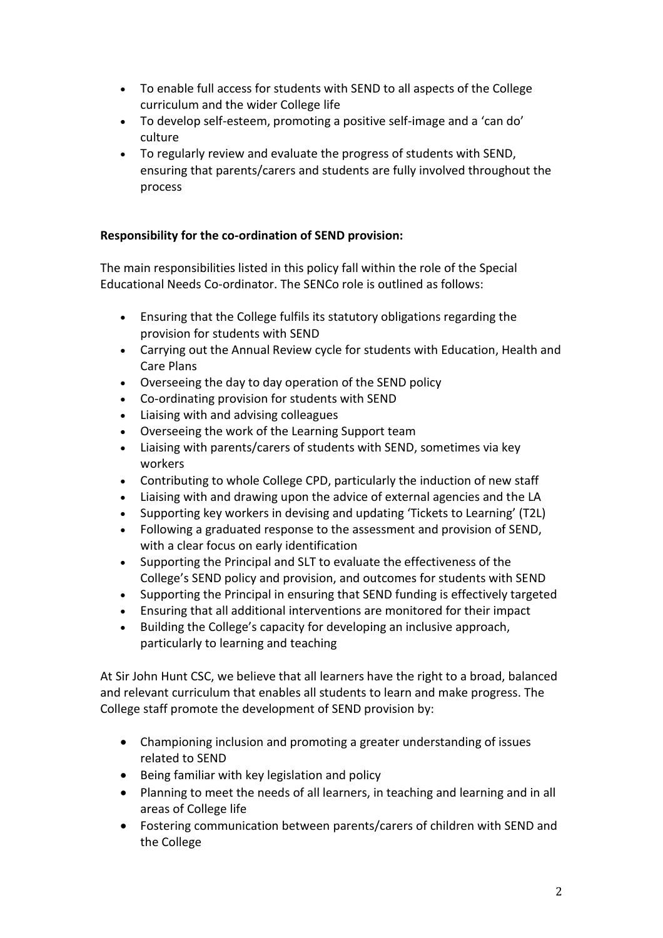- To enable full access for students with SEND to all aspects of the College curriculum and the wider College life
- To develop self-esteem, promoting a positive self-image and a 'can do' culture
- To regularly review and evaluate the progress of students with SEND, ensuring that parents/carers and students are fully involved throughout the process

# **Responsibility for the co-ordination of SEND provision:**

The main responsibilities listed in this policy fall within the role of the Special Educational Needs Co-ordinator. The SENCo role is outlined as follows:

- Ensuring that the College fulfils its statutory obligations regarding the provision for students with SEND
- Carrying out the Annual Review cycle for students with Education, Health and Care Plans
- Overseeing the day to day operation of the SEND policy
- Co-ordinating provision for students with SEND
- Liaising with and advising colleagues
- Overseeing the work of the Learning Support team
- Liaising with parents/carers of students with SEND, sometimes via key workers
- Contributing to whole College CPD, particularly the induction of new staff
- Liaising with and drawing upon the advice of external agencies and the LA
- Supporting key workers in devising and updating 'Tickets to Learning' (T2L)
- Following a graduated response to the assessment and provision of SEND, with a clear focus on early identification
- Supporting the Principal and SLT to evaluate the effectiveness of the College's SEND policy and provision, and outcomes for students with SEND
- Supporting the Principal in ensuring that SEND funding is effectively targeted
- Ensuring that all additional interventions are monitored for their impact
- Building the College's capacity for developing an inclusive approach, particularly to learning and teaching

At Sir John Hunt CSC, we believe that all learners have the right to a broad, balanced and relevant curriculum that enables all students to learn and make progress. The College staff promote the development of SEND provision by:

- Championing inclusion and promoting a greater understanding of issues related to SEND
- Being familiar with key legislation and policy
- Planning to meet the needs of all learners, in teaching and learning and in all areas of College life
- Fostering communication between parents/carers of children with SEND and the College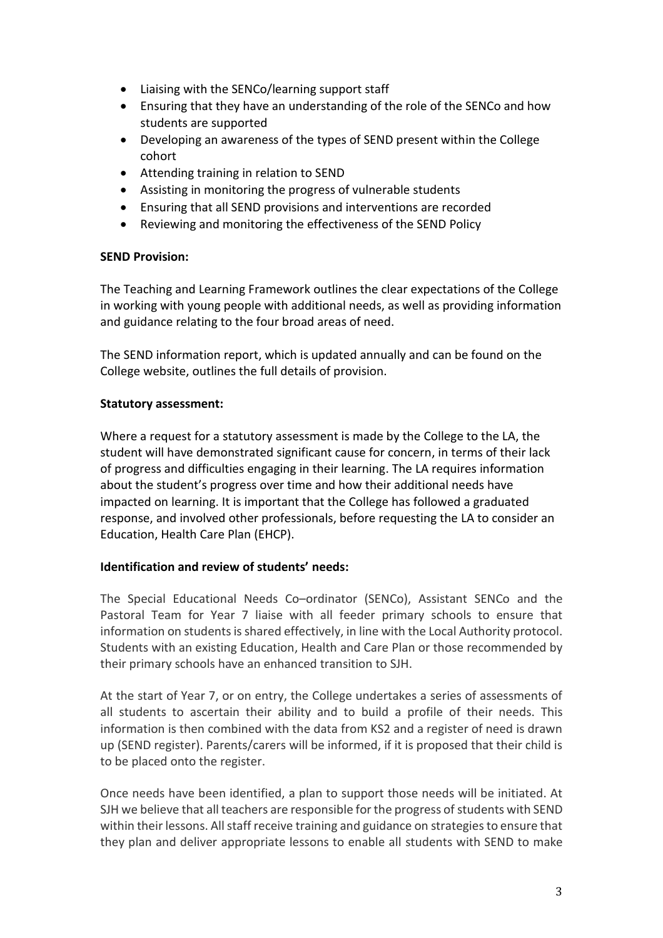- Liaising with the SENCo/learning support staff
- Ensuring that they have an understanding of the role of the SENCo and how students are supported
- Developing an awareness of the types of SEND present within the College cohort
- Attending training in relation to SEND
- Assisting in monitoring the progress of vulnerable students
- Ensuring that all SEND provisions and interventions are recorded
- Reviewing and monitoring the effectiveness of the SEND Policy

## **SEND Provision:**

The Teaching and Learning Framework outlines the clear expectations of the College in working with young people with additional needs, as well as providing information and guidance relating to the four broad areas of need.

The SEND information report, which is updated annually and can be found on the College website, outlines the full details of provision.

## **Statutory assessment:**

Where a request for a statutory assessment is made by the College to the LA, the student will have demonstrated significant cause for concern, in terms of their lack of progress and difficulties engaging in their learning. The LA requires information about the student's progress over time and how their additional needs have impacted on learning. It is important that the College has followed a graduated response, and involved other professionals, before requesting the LA to consider an Education, Health Care Plan (EHCP).

## **Identification and review of students' needs:**

The Special Educational Needs Co–ordinator (SENCo), Assistant SENCo and the Pastoral Team for Year 7 liaise with all feeder primary schools to ensure that information on students is shared effectively, in line with the Local Authority protocol. Students with an existing Education, Health and Care Plan or those recommended by their primary schools have an enhanced transition to SJH.

At the start of Year 7, or on entry, the College undertakes a series of assessments of all students to ascertain their ability and to build a profile of their needs. This information is then combined with the data from KS2 and a register of need is drawn up (SEND register). Parents/carers will be informed, if it is proposed that their child is to be placed onto the register.

Once needs have been identified, a plan to support those needs will be initiated. At SJH we believe that all teachers are responsible for the progress of students with SEND within their lessons. All staff receive training and guidance on strategies to ensure that they plan and deliver appropriate lessons to enable all students with SEND to make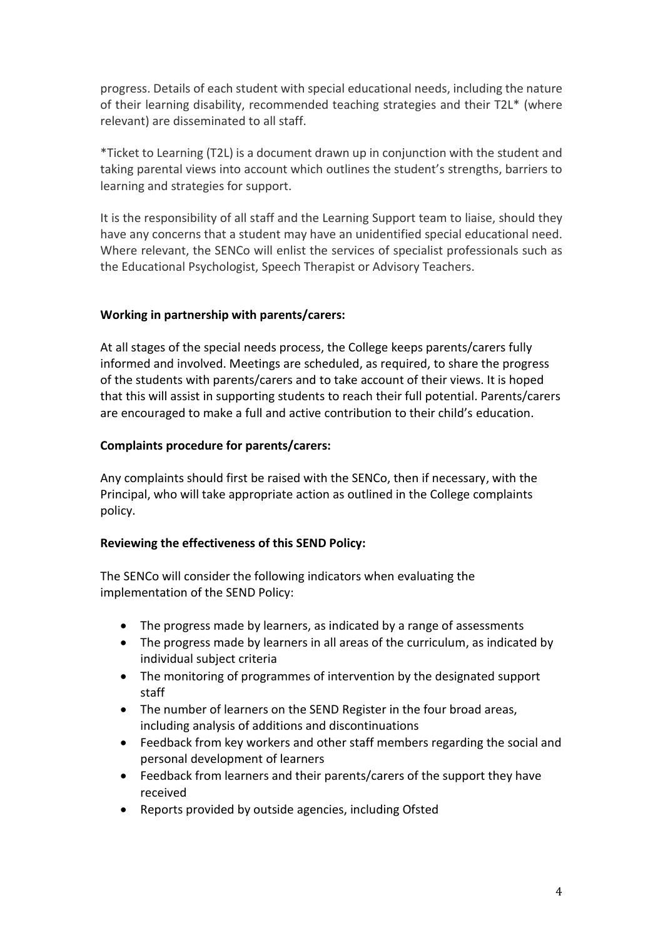progress. Details of each student with special educational needs, including the nature of their learning disability, recommended teaching strategies and their T2L\* (where relevant) are disseminated to all staff.

\*Ticket to Learning (T2L) is a document drawn up in conjunction with the student and taking parental views into account which outlines the student's strengths, barriers to learning and strategies for support.

It is the responsibility of all staff and the Learning Support team to liaise, should they have any concerns that a student may have an unidentified special educational need. Where relevant, the SENCo will enlist the services of specialist professionals such as the Educational Psychologist, Speech Therapist or Advisory Teachers.

#### **Working in partnership with parents/carers:**

At all stages of the special needs process, the College keeps parents/carers fully informed and involved. Meetings are scheduled, as required, to share the progress of the students with parents/carers and to take account of their views. It is hoped that this will assist in supporting students to reach their full potential. Parents/carers are encouraged to make a full and active contribution to their child's education.

#### **Complaints procedure for parents/carers:**

Any complaints should first be raised with the SENCo, then if necessary, with the Principal, who will take appropriate action as outlined in the College complaints policy.

## **Reviewing the effectiveness of this SEND Policy:**

The SENCo will consider the following indicators when evaluating the implementation of the SEND Policy:

- The progress made by learners, as indicated by a range of assessments
- The progress made by learners in all areas of the curriculum, as indicated by individual subject criteria
- The monitoring of programmes of intervention by the designated support staff
- The number of learners on the SEND Register in the four broad areas, including analysis of additions and discontinuations
- Feedback from key workers and other staff members regarding the social and personal development of learners
- Feedback from learners and their parents/carers of the support they have received
- Reports provided by outside agencies, including Ofsted